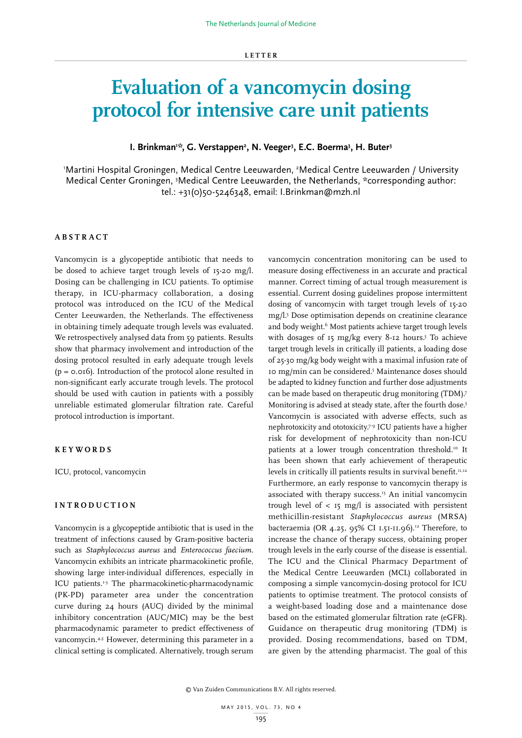# **Evaluation of a vancomycin dosing protocol for intensive care unit patients**

# I. Brinkman<sup>1:</sup>\*, G. Verstappen<sup>2</sup>, N. Veeger<sup>3</sup>, E.C. Boerma<sup>3</sup>, H. Buter<sup>3</sup>

'Martini Hospital Groningen, Medical Centre Leeuwarden, <sup>2</sup>Medical Centre Leeuwarden / University Medical Center Groningen, <sup>3</sup>Medical Centre Leeuwarden, the Netherlands, \*corresponding author: tel.: +31(0)50-5246348, email: I.Brinkman@mzh.nl

# **ABSTRACT**

Vancomycin is a glycopeptide antibiotic that needs to be dosed to achieve target trough levels of 15-20 mg/l. Dosing can be challenging in ICU patients. To optimise therapy, in ICU-pharmacy collaboration, a dosing protocol was introduced on the ICU of the Medical Center Leeuwarden, the Netherlands. The effectiveness in obtaining timely adequate trough levels was evaluated. We retrospectively analysed data from 59 patients. Results show that pharmacy involvement and introduction of the dosing protocol resulted in early adequate trough levels (p = 0.016). Introduction of the protocol alone resulted in non-significant early accurate trough levels. The protocol should be used with caution in patients with a possibly unreliable estimated glomerular filtration rate. Careful protocol introduction is important.

## **KEYWORDS**

ICU, protocol, vancomycin

# **INTRODUCTION**

Vancomycin is a glycopeptide antibiotic that is used in the treatment of infections caused by Gram-positive bacteria such as *Staphylococcus aureus* and *Enterococcus faecium*. Vancomycin exhibits an intricate pharmacokinetic profile, showing large inter-individual differences, especially in ICU patients.<sup>1-3</sup> The pharmacokinetic-pharmacodynamic (PK-PD) parameter area under the concentration curve during 24 hours (AUC) divided by the minimal inhibitory concentration (AUC/MIC) may be the best pharmacodynamic parameter to predict effectiveness of vancomycin.<sup>4,5</sup> However, determining this parameter in a clinical setting is complicated. Alternatively, trough serum

vancomycin concentration monitoring can be used to measure dosing effectiveness in an accurate and practical manner. Correct timing of actual trough measurement is essential. Current dosing guidelines propose intermittent dosing of vancomycin with target trough levels of 15-20 mg/l.5 Dose optimisation depends on creatinine clearance and body weight.<sup>6</sup> Most patients achieve target trough levels with dosages of  $r_5$  mg/kg every 8-12 hours.<sup>5</sup> To achieve target trough levels in critically ill patients, a loading dose of 25-30 mg/kg body weight with a maximal infusion rate of 10 mg/min can be considered.5 Maintenance doses should be adapted to kidney function and further dose adjustments can be made based on therapeutic drug monitoring (TDM).7 Monitoring is advised at steady state, after the fourth dose.<sup>5</sup> Vancomycin is associated with adverse effects, such as nephrotoxicity and ototoxicity.7-9 ICU patients have a higher risk for development of nephrotoxicity than non-ICU patients at a lower trough concentration threshold.<sup>10</sup> It has been shown that early achievement of therapeutic levels in critically ill patients results in survival benefit.<sup>11,12</sup> Furthermore, an early response to vancomycin therapy is associated with therapy success.<sup>13</sup> An initial vancomycin trough level of  $\langle 15 \rangle$  rs  $mg/l$  is associated with persistent methicillin-resistant *Staphylococcus aureus* (MRSA) bacteraemia (OR 4.25, 95% CI 1.51-11.96).<sup>12</sup> Therefore, to increase the chance of therapy success, obtaining proper trough levels in the early course of the disease is essential. The ICU and the Clinical Pharmacy Department of the Medical Centre Leeuwarden (MCL) collaborated in composing a simple vancomycin-dosing protocol for ICU patients to optimise treatment. The protocol consists of a weight-based loading dose and a maintenance dose based on the estimated glomerular filtration rate (eGFR). Guidance on therapeutic drug monitoring (TDM) is provided. Dosing recommendations, based on TDM, are given by the attending pharmacist. The goal of this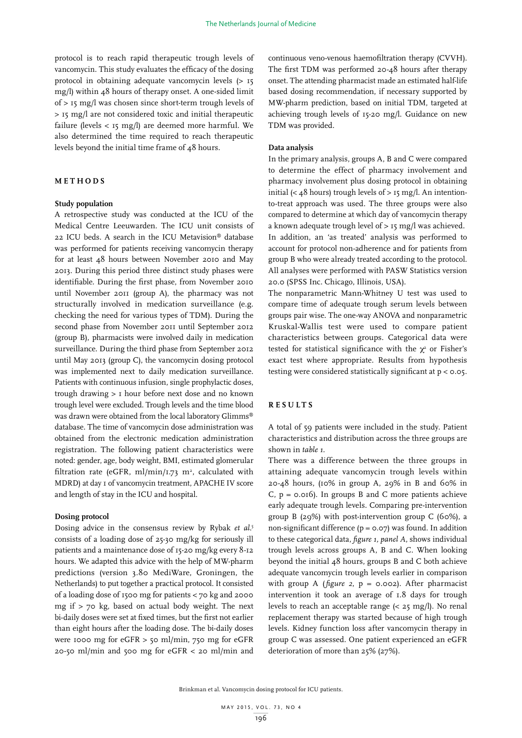protocol is to reach rapid therapeutic trough levels of vancomycin. This study evaluates the efficacy of the dosing protocol in obtaining adequate vancomycin levels (> 15 mg/l) within 48 hours of therapy onset. A one-sided limit of > 15 mg/l was chosen since short-term trough levels of > 15 mg/l are not considered toxic and initial therapeutic failure (levels < 15 mg/l) are deemed more harmful. We also determined the time required to reach therapeutic levels beyond the initial time frame of 48 hours.

### **METHODS**

#### **Study population**

A retrospective study was conducted at the ICU of the Medical Centre Leeuwarden. The ICU unit consists of 22 ICU beds. A search in the ICU Metavision® database was performed for patients receiving vancomycin therapy for at least 48 hours between November 2010 and May 2013. During this period three distinct study phases were identifiable. During the first phase, from November 2010 until November 2011 (group A), the pharmacy was not structurally involved in medication surveillance (e.g. checking the need for various types of TDM). During the second phase from November 2011 until September 2012 (group B), pharmacists were involved daily in medication surveillance. During the third phase from September 2012 until May 2013 (group C), the vancomycin dosing protocol was implemented next to daily medication surveillance. Patients with continuous infusion, single prophylactic doses, trough drawing > 1 hour before next dose and no known trough level were excluded. Trough levels and the time blood was drawn were obtained from the local laboratory Glimms® database. The time of vancomycin dose administration was obtained from the electronic medication administration registration. The following patient characteristics were noted: gender, age, body weight, BMI, estimated glomerular filtration rate (eGFR, ml/min/1.73  $m^2$ , calculated with MDRD) at day 1 of vancomycin treatment, APACHE IV score and length of stay in the ICU and hospital.

#### **Dosing protocol**

Dosing advice in the consensus review by Rybak *et al*. 5 consists of a loading dose of 25-30 mg/kg for seriously ill patients and a maintenance dose of 15-20 mg/kg every 8-12 hours. We adapted this advice with the help of MW-pharm predictions (version 3.80 MediWare, Groningen, the Netherlands) to put together a practical protocol. It consisted of a loading dose of 1500 mg for patients < 70 kg and 2000 mg if > 70 kg, based on actual body weight. The next bi-daily doses were set at fixed times, but the first not earlier than eight hours after the loading dose. The bi-daily doses were 1000 mg for  $eGFR > 50$  ml/min, 750 mg for  $eGFR$ 20-50 ml/min and 500 mg for eGFR < 20 ml/min and

continuous veno-venous haemofiltration therapy (CVVH). The first TDM was performed 20-48 hours after therapy onset. The attending pharmacist made an estimated half-life based dosing recommendation, if necessary supported by MW-pharm prediction, based on initial TDM, targeted at achieving trough levels of 15-20 mg/l. Guidance on new TDM was provided.

## **Data analysis**

In the primary analysis, groups A, B and C were compared to determine the effect of pharmacy involvement and pharmacy involvement plus dosing protocol in obtaining initial (<  $48$  hours) trough levels of > 15 mg/l. An intentionto-treat approach was used. The three groups were also compared to determine at which day of vancomycin therapy a known adequate trough level of > 15 mg/l was achieved. In addition, an 'as treated' analysis was performed to account for protocol non-adherence and for patients from group B who were already treated according to the protocol. All analyses were performed with PASW Statistics version 20.0 (SPSS Inc. Chicago, Illinois, USA).

The nonparametric Mann-Whitney U test was used to compare time of adequate trough serum levels between groups pair wise. The one-way ANOVA and nonparametric Kruskal-Wallis test were used to compare patient characteristics between groups. Categorical data were tested for statistical significance with the  $\chi^2$  or Fisher's exact test where appropriate. Results from hypothesis testing were considered statistically significant at p < 0.05.

## **RESULTS**

A total of 59 patients were included in the study. Patient characteristics and distribution across the three groups are shown in *table 1*.

There was a difference between the three groups in attaining adequate vancomycin trough levels within 20-48 hours, (10% in group A, 29% in B and 60% in C,  $p = 0.016$ ). In groups B and C more patients achieve early adequate trough levels. Comparing pre-intervention group B  $(29%)$  with post-intervention group C  $(60%)$ , a non-significant difference  $(p = 0.07)$  was found. In addition to these categorical data, *figure 1, panel A*, shows individual trough levels across groups A, B and C. When looking beyond the initial 48 hours, groups B and C both achieve adequate vancomycin trough levels earlier in comparison with group A (*figure 2*, p = 0.002). After pharmacist intervention it took an average of 1.8 days for trough levels to reach an acceptable range (< 25 mg/l). No renal replacement therapy was started because of high trough levels. Kidney function loss after vancomycin therapy in group C was assessed. One patient experienced an eGFR deterioration of more than 25% (27%).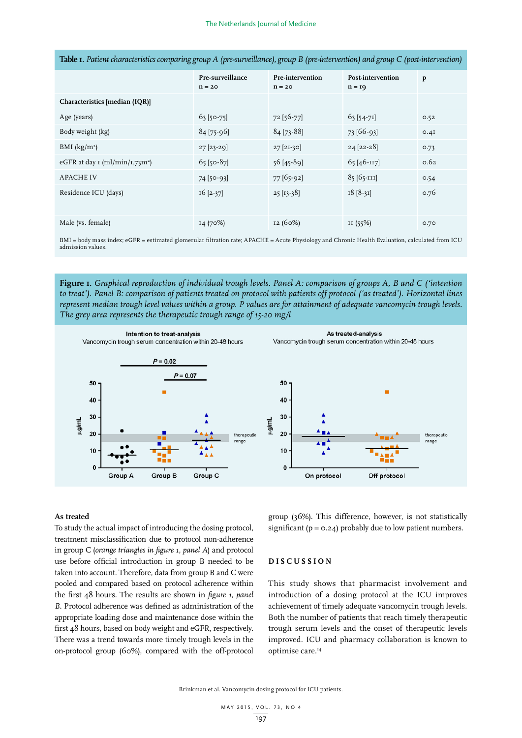|                                        | Pre-surveillance<br>$n = 20$ | Pre-intervention<br>$n = 20$ | Post-intervention<br>$n = q$ | p    |
|----------------------------------------|------------------------------|------------------------------|------------------------------|------|
| Characteristics [median (IQR)]         |                              |                              |                              |      |
| Age (years)                            | $63$ [50-75]                 | 72 [56-77]                   | $63[54-71]$                  | 0.52 |
| Body weight (kg)                       | $84$ [75-96]                 | 84 [73-88]                   | 73 [66-93]                   | 0.4I |
| BMI $(kg/m^2)$                         | $27$ [23-29]                 | $27$ [2I-30]                 | $24 [22-28]$                 | 0.73 |
| eGFR at day $\text{I (ml/min/I,73m²)}$ | $65$ [50-87]                 | 56 [45-89]                   | $65$ [46-117]                | 0.62 |
| <b>APACHE IV</b>                       | $74$ [50-93]                 | 77 [65-92]                   | 85 [65-111]                  | 0.54 |
| Residence ICU (days)                   | $16$ [2-37]                  | $25$ [ $13-38$ ]             | $18 [8-31]$                  | 0.76 |
|                                        |                              |                              |                              |      |
| Male (vs. female)                      | 14 (70%)                     | 12 (60%)                     | II(55%)                      | 0.70 |

**Table 1.** *Patient characteristics comparing group A (pre-surveillance), group B (pre-intervention) and group C (post-intervention)*

BMI = body mass index; eGFR = estimated glomerular filtration rate; APACHE = Acute Physiology and Chronic Health Evaluation, calculated from ICU admission values.

**Figure 1.** *Graphical reproduction of individual trough levels. Panel A: comparison of groups A, B and C ('intention to treat'). Panel B: comparison of patients treated on protocol with patients off protocol ('as treated'). Horizontal lines represent median trough level values within a group. P values are for attainment of adequate vancomycin trough levels. The grey area represents the therapeutic trough range of 15-20 mg/l*



## **As treated**

To study the actual impact of introducing the dosing protocol, treatment misclassification due to protocol non-adherence in group C (*orange triangles in figure 1, panel A*) and protocol use before official introduction in group B needed to be taken into account. Therefore, data from group B and C were pooled and compared based on protocol adherence within the first 48 hours. The results are shown in *figure 1, panel B*. Protocol adherence was defined as administration of the appropriate loading dose and maintenance dose within the first 48 hours, based on body weight and eGFR, respectively. There was a trend towards more timely trough levels in the on-protocol group (60%), compared with the off-protocol group (36%). This difference, however, is not statistically significant ( $p = 0.24$ ) probably due to low patient numbers.

# **DISCUSSION**

This study shows that pharmacist involvement and introduction of a dosing protocol at the ICU improves achievement of timely adequate vancomycin trough levels. Both the number of patients that reach timely therapeutic trough serum levels and the onset of therapeutic levels improved. ICU and pharmacy collaboration is known to optimise care.14

Brinkman et al. Vancomycin dosing protocol for ICU patients.